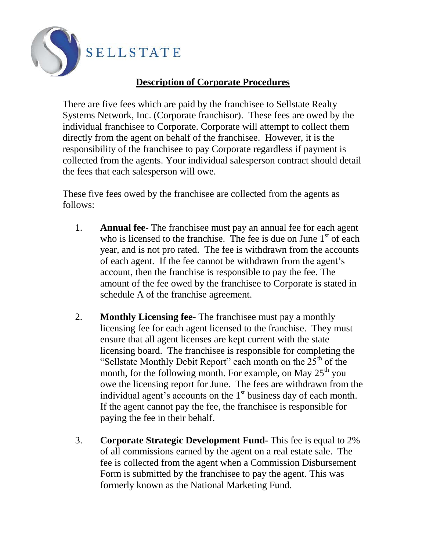

## **Description of Corporate Procedures**

There are five fees which are paid by the franchisee to Sellstate Realty Systems Network, Inc. (Corporate franchisor). These fees are owed by the individual franchisee to Corporate. Corporate will attempt to collect them directly from the agent on behalf of the franchisee. However, it is the responsibility of the franchisee to pay Corporate regardless if payment is collected from the agents. Your individual salesperson contract should detail the fees that each salesperson will owe.

These five fees owed by the franchisee are collected from the agents as follows:

- 1. **Annual fee** The franchisee must pay an annual fee for each agent who is licensed to the franchise. The fee is due on June  $1<sup>st</sup>$  of each year, and is not pro rated. The fee is withdrawn from the accounts of each agent. If the fee cannot be withdrawn from the agent's account, then the franchise is responsible to pay the fee. The amount of the fee owed by the franchisee to Corporate is stated in schedule A of the franchise agreement.
- 2. **Monthly Licensing fee** The franchisee must pay a monthly licensing fee for each agent licensed to the franchise. They must ensure that all agent licenses are kept current with the state licensing board. The franchisee is responsible for completing the "Sellstate Monthly Debit Report" each month on the  $25<sup>th</sup>$  of the month, for the following month. For example, on May  $25<sup>th</sup>$  you owe the licensing report for June. The fees are withdrawn from the individual agent's accounts on the  $1<sup>st</sup>$  business day of each month. If the agent cannot pay the fee, the franchisee is responsible for paying the fee in their behalf.
- 3. **Corporate Strategic Development Fund** This fee is equal to 2% of all commissions earned by the agent on a real estate sale. The fee is collected from the agent when a Commission Disbursement Form is submitted by the franchisee to pay the agent. This was formerly known as the National Marketing Fund.